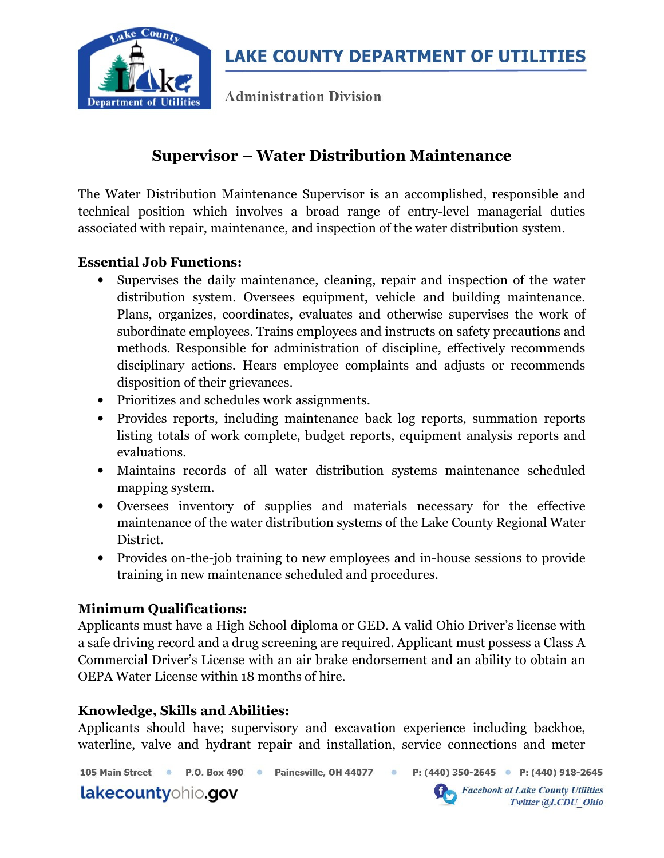

**Administration Division** 

# Supervisor – Water Distribution Maintenance

The Water Distribution Maintenance Supervisor is an accomplished, responsible and technical position which involves a broad range of entry-level managerial duties associated with repair, maintenance, and inspection of the water distribution system.

### Essential Job Functions:

- Supervises the daily maintenance, cleaning, repair and inspection of the water distribution system. Oversees equipment, vehicle and building maintenance. Plans, organizes, coordinates, evaluates and otherwise supervises the work of subordinate employees. Trains employees and instructs on safety precautions and methods. Responsible for administration of discipline, effectively recommends disciplinary actions. Hears employee complaints and adjusts or recommends disposition of their grievances.
- Prioritizes and schedules work assignments.
- Provides reports, including maintenance back log reports, summation reports listing totals of work complete, budget reports, equipment analysis reports and evaluations.
- Maintains records of all water distribution systems maintenance scheduled mapping system.
- Oversees inventory of supplies and materials necessary for the effective maintenance of the water distribution systems of the Lake County Regional Water District.
- Provides on-the-job training to new employees and in-house sessions to provide training in new maintenance scheduled and procedures.

### Minimum Qualifications:

Applicants must have a High School diploma or GED. A valid Ohio Driver's license with a safe driving record and a drug screening are required. Applicant must possess a Class A Commercial Driver's License with an air brake endorsement and an ability to obtain an OEPA Water License within 18 months of hire.

### Knowledge, Skills and Abilities:

Applicants should have; supervisory and excavation experience including backhoe, waterline, valve and hydrant repair and installation, service connections and meter

105 Main Street • P.O. Box 490 • Painesville, OH 44077 •

lakecountyohio.gov